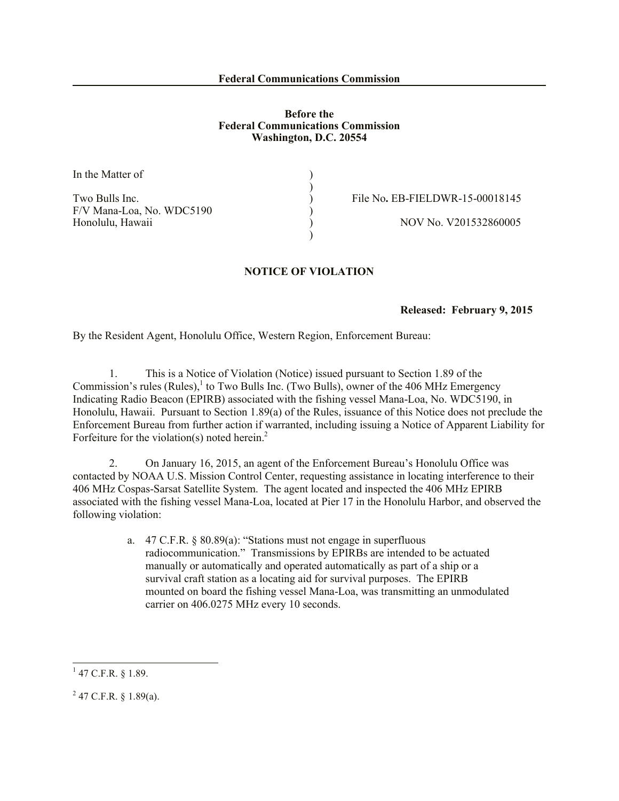## **Before the Federal Communications Commission Washington, D.C. 20554**

)

In the Matter of

F/V Mana-Loa, No. WDC5190 (a) Honolulu, Hawaii 1980 (1991) 1991 (1992) 1992 (1993) 1992 (1993) 1993 (1994) 1993 (1994) 1993 (1994) 1993 (199

Two Bulls Inc. <br>
(a) File No. EB-FIELDWR-15-00018145

## **NOTICE OF VIOLATION**

)

## **Released: February 9, 2015**

By the Resident Agent, Honolulu Office, Western Region, Enforcement Bureau:

1. This is a Notice of Violation (Notice) issued pursuant to Section 1.89 of the Commission's rules (Rules),  $\frac{1}{1}$  to Two Bulls Inc. (Two Bulls), owner of the 406 MHz Emergency Indicating Radio Beacon (EPIRB) associated with the fishing vessel Mana-Loa, No. WDC5190, in Honolulu, Hawaii. Pursuant to Section 1.89(a) of the Rules, issuance of this Notice does not preclude the Enforcement Bureau from further action if warranted, including issuing a Notice of Apparent Liability for Forfeiture for the violation(s) noted herein.<sup>2</sup>

2. On January 16, 2015, an agent of the Enforcement Bureau's Honolulu Office was contacted by NOAA U.S. Mission Control Center, requesting assistance in locating interference to their 406 MHz Cospas-Sarsat Satellite System. The agent located and inspected the 406 MHz EPIRB associated with the fishing vessel Mana-Loa, located at Pier 17 in the Honolulu Harbor, and observed the following violation:

> a. 47 C.F.R. § 80.89(a): "Stations must not engage in superfluous radiocommunication." Transmissions by EPIRBs are intended to be actuated manually or automatically and operated automatically as part of a ship or a survival craft station as a locating aid for survival purposes. The EPIRB mounted on board the fishing vessel Mana-Loa, was transmitting an unmodulated carrier on 406.0275 MHz every 10 seconds.

 $\overline{a}$ 

 $1$  47 C.F.R. § 1.89.

 $^{2}$  47 C.F.R. § 1.89(a).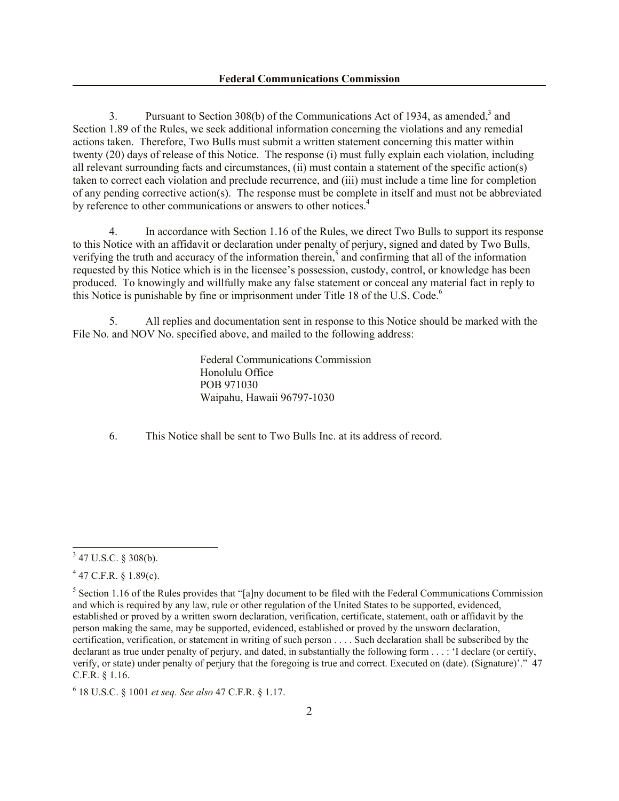3. Pursuant to Section 308(b) of the Communications Act of 1934, as amended,<sup>3</sup> and Section 1.89 of the Rules, we seek additional information concerning the violations and any remedial actions taken. Therefore, Two Bulls must submit a written statement concerning this matter within twenty (20) days of release of this Notice. The response (i) must fully explain each violation, including all relevant surrounding facts and circumstances, (ii) must contain a statement of the specific action(s) taken to correct each violation and preclude recurrence, and (iii) must include a time line for completion of any pending corrective action(s). The response must be complete in itself and must not be abbreviated by reference to other communications or answers to other notices.<sup>4</sup>

4. In accordance with Section 1.16 of the Rules, we direct Two Bulls to support its response to this Notice with an affidavit or declaration under penalty of perjury, signed and dated by Two Bulls, verifying the truth and accuracy of the information therein,<sup>5</sup> and confirming that all of the information requested by this Notice which is in the licensee's possession, custody, control, or knowledge has been produced. To knowingly and willfully make any false statement or conceal any material fact in reply to this Notice is punishable by fine or imprisonment under Title 18 of the U.S. Code.<sup>6</sup>

5. All replies and documentation sent in response to this Notice should be marked with the File No. and NOV No. specified above, and mailed to the following address:

> Federal Communications Commission Honolulu Office POB 971030 Waipahu, Hawaii 96797-1030

6. This Notice shall be sent to Two Bulls Inc. at its address of record.

<sup>&</sup>lt;sup>3</sup> 47 U.S.C. § 308(b).

 $447$  C.F.R. § 1.89(c).

 $<sup>5</sup>$  Section 1.16 of the Rules provides that "[a]ny document to be filed with the Federal Communications Commission</sup> and which is required by any law, rule or other regulation of the United States to be supported, evidenced, established or proved by a written sworn declaration, verification, certificate, statement, oath or affidavit by the person making the same, may be supported, evidenced, established or proved by the unsworn declaration, certification, verification, or statement in writing of such person . . . . Such declaration shall be subscribed by the declarant as true under penalty of perjury, and dated, in substantially the following form . . . : 'I declare (or certify, verify, or state) under penalty of perjury that the foregoing is true and correct. Executed on (date). (Signature)'." 47 C.F.R. § 1.16.

<sup>6</sup> 18 U.S.C. § 1001 *et seq. See also* 47 C.F.R. § 1.17.